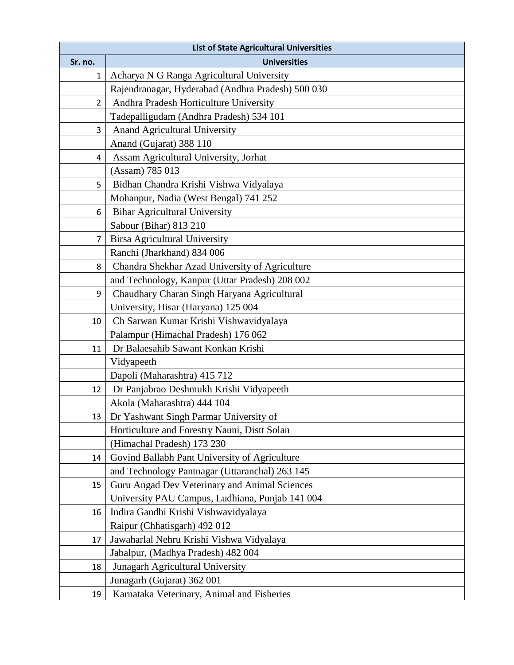|                | <b>List of State Agricultural Universities</b>    |  |  |
|----------------|---------------------------------------------------|--|--|
| Sr. no.        | <b>Universities</b>                               |  |  |
| 1              | Acharya N G Ranga Agricultural University         |  |  |
|                | Rajendranagar, Hyderabad (Andhra Pradesh) 500 030 |  |  |
| $\overline{2}$ | Andhra Pradesh Horticulture University            |  |  |
|                | Tadepalligudam (Andhra Pradesh) 534 101           |  |  |
| 3              | <b>Anand Agricultural University</b>              |  |  |
|                | Anand (Gujarat) 388 110                           |  |  |
| 4              | Assam Agricultural University, Jorhat             |  |  |
|                | (Assam) 785 013                                   |  |  |
| 5              | Bidhan Chandra Krishi Vishwa Vidyalaya            |  |  |
|                | Mohanpur, Nadia (West Bengal) 741 252             |  |  |
| 6              | <b>Bihar Agricultural University</b>              |  |  |
|                | Sabour (Bihar) 813 210                            |  |  |
| $\overline{7}$ | <b>Birsa Agricultural University</b>              |  |  |
|                | Ranchi (Jharkhand) 834 006                        |  |  |
| 8              | Chandra Shekhar Azad University of Agriculture    |  |  |
|                | and Technology, Kanpur (Uttar Pradesh) 208 002    |  |  |
| 9              | Chaudhary Charan Singh Haryana Agricultural       |  |  |
|                | University, Hisar (Haryana) 125 004               |  |  |
| 10             | Ch Sarwan Kumar Krishi Vishwavidyalaya            |  |  |
|                | Palampur (Himachal Pradesh) 176 062               |  |  |
| 11             | Dr Balaesahib Sawant Konkan Krishi                |  |  |
|                | Vidyapeeth                                        |  |  |
|                | Dapoli (Maharashtra) 415 712                      |  |  |
| 12             | Dr Panjabrao Deshmukh Krishi Vidyapeeth           |  |  |
|                | Akola (Maharashtra) 444 104                       |  |  |
| 13             | Dr Yashwant Singh Parmar University of            |  |  |
|                | Horticulture and Forestry Nauni, Distt Solan      |  |  |
|                | (Himachal Pradesh) 173 230                        |  |  |
| 14             | Govind Ballabh Pant University of Agriculture     |  |  |
|                | and Technology Pantnagar (Uttaranchal) 263 145    |  |  |
| 15             | Guru Angad Dev Veterinary and Animal Sciences     |  |  |
|                | University PAU Campus, Ludhiana, Punjab 141 004   |  |  |
| 16             | Indira Gandhi Krishi Vishwavidyalaya              |  |  |
|                | Raipur (Chhatisgarh) 492 012                      |  |  |
| 17             | Jawaharlal Nehru Krishi Vishwa Vidyalaya          |  |  |
|                | Jabalpur, (Madhya Pradesh) 482 004                |  |  |
| 18             | Junagarh Agricultural University                  |  |  |
|                | Junagarh (Gujarat) 362 001                        |  |  |
| 19             | Karnataka Veterinary, Animal and Fisheries        |  |  |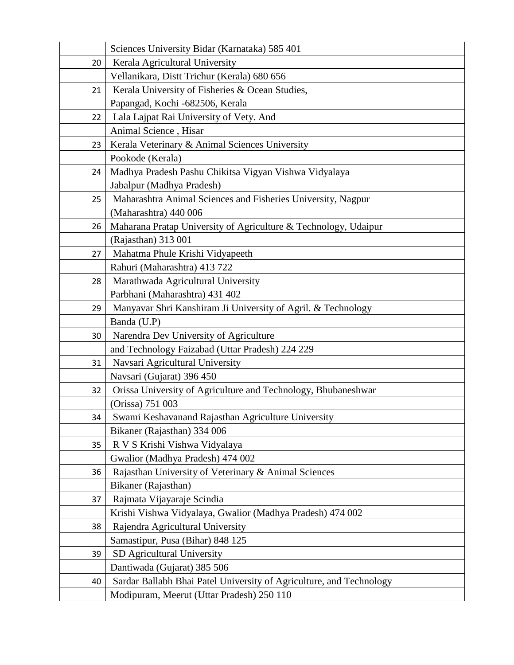|    | Sciences University Bidar (Karnataka) 585 401                       |
|----|---------------------------------------------------------------------|
| 20 | Kerala Agricultural University                                      |
|    | Vellanikara, Distt Trichur (Kerala) 680 656                         |
| 21 | Kerala University of Fisheries & Ocean Studies,                     |
|    | Papangad, Kochi -682506, Kerala                                     |
| 22 | Lala Lajpat Rai University of Vety. And                             |
|    | Animal Science, Hisar                                               |
| 23 | Kerala Veterinary & Animal Sciences University                      |
|    | Pookode (Kerala)                                                    |
| 24 | Madhya Pradesh Pashu Chikitsa Vigyan Vishwa Vidyalaya               |
|    | Jabalpur (Madhya Pradesh)                                           |
| 25 | Maharashtra Animal Sciences and Fisheries University, Nagpur        |
|    | (Maharashtra) 440 006                                               |
| 26 | Maharana Pratap University of Agriculture & Technology, Udaipur     |
|    | (Rajasthan) 313 001                                                 |
| 27 | Mahatma Phule Krishi Vidyapeeth                                     |
|    | Rahuri (Maharashtra) 413 722                                        |
| 28 | Marathwada Agricultural University                                  |
|    | Parbhani (Maharashtra) 431 402                                      |
| 29 | Manyavar Shri Kanshiram Ji University of Agril. & Technology        |
|    | Banda (U.P)                                                         |
| 30 | Narendra Dev University of Agriculture                              |
|    | and Technology Faizabad (Uttar Pradesh) 224 229                     |
| 31 | Navsari Agricultural University                                     |
|    | Navsari (Gujarat) 396 450                                           |
| 32 | Orissa University of Agriculture and Technology, Bhubaneshwar       |
|    | (Orissa) 751 003                                                    |
| 34 | Swami Keshavanand Rajasthan Agriculture University                  |
|    | Bikaner (Rajasthan) 334 006                                         |
| 35 | R V S Krishi Vishwa Vidyalaya                                       |
|    | Gwalior (Madhya Pradesh) 474 002                                    |
| 36 | Rajasthan University of Veterinary & Animal Sciences                |
|    | Bikaner (Rajasthan)                                                 |
| 37 | Rajmata Vijayaraje Scindia                                          |
|    | Krishi Vishwa Vidyalaya, Gwalior (Madhya Pradesh) 474 002           |
| 38 | Rajendra Agricultural University                                    |
|    | Samastipur, Pusa (Bihar) 848 125                                    |
| 39 | SD Agricultural University                                          |
|    | Dantiwada (Gujarat) 385 506                                         |
| 40 | Sardar Ballabh Bhai Patel University of Agriculture, and Technology |
|    | Modipuram, Meerut (Uttar Pradesh) 250 110                           |